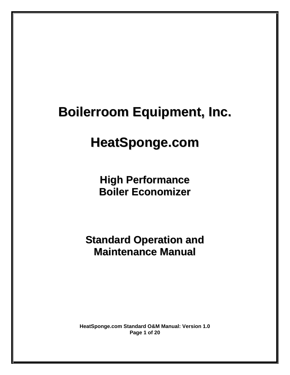# **HeatSponge.com**

**High Performance Boiler Economizer**

**Standard Operation and Maintenance Manual**

**HeatSponge.com Standard O&M Manual: Version 1.0 Page 1 of 20**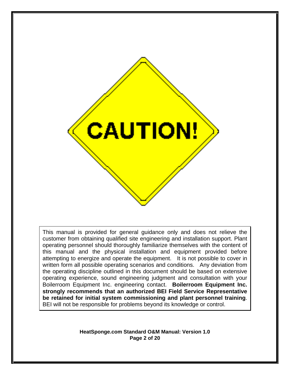

This manual is provided for general guidance only and does not relieve the customer from obtaining qualified site engineering and installation support. Plant operating personnel should thoroughly familiarize themselves with the content of this manual and the physical installation and equipment provided before attempting to energize and operate the equipment. It is not possible to cover in written form all possible operating scenarios and conditions. Any deviation from the operating discipline outlined in this document should be based on extensive operating experience, sound engineering judgment and consultation with your Boilerroom Equipment Inc. engineering contact. **Boilerroom Equipment Inc. strongly recommends that an authorized BEI Field Service Representative be retained for initial system commissioning and plant personnel training**. BEI will not be responsible for problems beyond its knowledge or control.

> **HeatSponge.com Standard O&M Manual: Version 1.0 Page 2 of 20**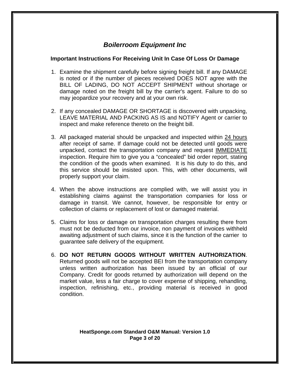#### **Important Instructions For Receiving Unit In Case Of Loss Or Damage**

- 1. Examine the shipment carefully before signing freight bill. If any DAMAGE is noted or if the number of pieces received DOES NOT agree with the BILL OF LADING, DO NOT ACCEPT SHIPMENT without shortage or damage noted on the freight bill by the carrier's agent. Failure to do so may jeopardize your recovery and at your own risk.
- 2. If any concealed DAMAGE OR SHORTAGE is discovered with unpacking, LEAVE MATERIAL AND PACKING AS IS and NOTIFY Agent or carrier to inspect and make reference thereto on the freight bill.
- 3. All packaged material should be unpacked and inspected within 24 hours after receipt of same. If damage could not be detected until goods were unpacked, contact the transportation company and request IMMEDIATE inspection. Require him to give you a "concealed" bid order report, stating the condition of the goods when examined. It is his duty to do this, and this service should be insisted upon. This, with other documents, will properly support your claim.
- 4. When the above instructions are complied with, we will assist you in establishing claims against the transportation companies for loss or damage in transit. We cannot, however, be responsible for entry or collection of claims or replacement of lost or damaged material.
- 5. Claims for loss or damage on transportation charges resulting there from must not be deducted from our invoice, non payment of invoices withheld awaiting adjustment of such claims, since it is the function of the carrier to guarantee safe delivery of the equipment.
- 6. **DO NOT RETURN GOODS WITHOUT WRITTEN AUTHORIZATION**. Returned goods will not be accepted BEI from the transportation company unless written authorization has been issued by an official of our Company. Credit for goods returned by authorization will depend on the market value, less a fair charge to cover expense of shipping, rehandling, inspection, refinishing, etc., providing material is received in good condition.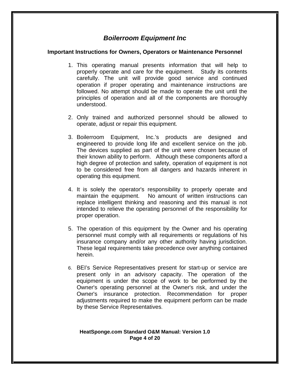#### **Important Instructions for Owners, Operators or Maintenance Personnel**

- 1. This operating manual presents information that will help to properly operate and care for the equipment. Study its contents carefully. The unit will provide good service and continued operation if proper operating and maintenance instructions are followed. No attempt should be made to operate the unit until the principles of operation and all of the components are thoroughly understood.
- 2. Only trained and authorized personnel should be allowed to operate, adjust or repair this equipment.
- 3. Boilerroom Equipment, Inc.'s products are designed and engineered to provide long life and excellent service on the job. The devices supplied as part of the unit were chosen because of their known ability to perform. Although these components afford a high degree of protection and safety, operation of equipment is not to be considered free from all dangers and hazards inherent in operating this equipment.
- 4. It is solely the operator's responsibility to properly operate and maintain the equipment. No amount of written instructions can replace intelligent thinking and reasoning and this manual is not intended to relieve the operating personnel of the responsibility for proper operation.
- 5. The operation of this equipment by the Owner and his operating personnel must comply with all requirements or regulations of his insurance company and/or any other authority having jurisdiction. These legal requirements take precedence over anything contained herein.
- 6. BEI's Service Representatives present for start-up or service are present only in an advisory capacity. The operation of the equipment is under the scope of work to be performed by the Owner's operating personnel at the Owner's risk, and under the Owner's insurance protection. Recommendation for proper adjustments required to make the equipment perform can be made by these Service Representatives.

#### **HeatSponge.com Standard O&M Manual: Version 1.0 Page 4 of 20**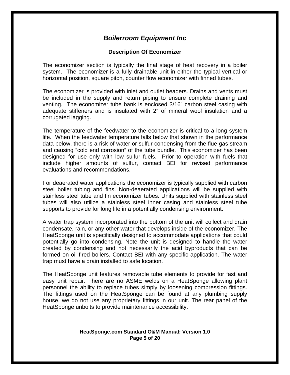## **Description Of Economizer**

The economizer section is typically the final stage of heat recovery in a boiler system. The economizer is a fully drainable unit in either the typical vertical or horizontal position, square pitch, counter flow economizer with finned tubes.

The economizer is provided with inlet and outlet headers. Drains and vents must be included in the supply and return piping to ensure complete draining and venting. The economizer tube bank is enclosed 3/16" carbon steel casing with adequate stiffeners and is insulated with 2" of mineral wool insulation and a corrugated lagging.

The temperature of the feedwater to the economizer is critical to a long system life. When the feedwater temperature falls below that shown in the performance data below, there is a risk of water or sulfur condensing from the flue gas stream and causing "cold end corrosion" of the tube bundle. This economizer has been designed for use only with low sulfur fuels. Prior to operation with fuels that include higher amounts of sulfur, contact BEI for revised performance evaluations and recommendations.

For deaerated water applications the economizer is typically supplied with carbon steel boiler tubing and fins. Non-deaerated applications will be supplied with stainless steel tube and fin economizer tubes. Units supplied with stainless steel tubes will also utilize a stainless steel inner casing and stainless steel tube supports to provide for long life in a potentially condensing environment.

A water trap system incorporated into the bottom of the unit will collect and drain condensate, rain, or any other water that develops inside of the economizer. The HeatSponge unit is specifically designed to accommodate applications that could potentially go into condensing. Note the unit is designed to handle the water created by condensing and not necessarily the acid byproducts that can be formed on oil fired boilers. Contact BEI with any specific application. The water trap must have a drain installed to safe location.

The HeatSponge unit features removable tube elements to provide for fast and easy unit repair. There are no ASME welds on a HeatSponge allowing plant personnel the ability to replace tubes simply by loosening compression fittings. The fittings used on the HeatSponge can be found at any plumbing supply house, we do not use any proprietary fittings in our unit. The rear panel of the HeatSponge unbolts to provide maintenance accessibility.

#### **HeatSponge.com Standard O&M Manual: Version 1.0 Page 5 of 20**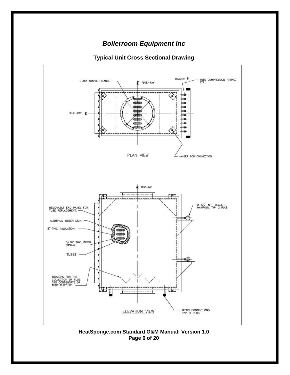

# **Typical Unit Cross Sectional Drawing**

**HeatSponge.com Standard O&M Manual: Version 1.0 Page 6 of 20**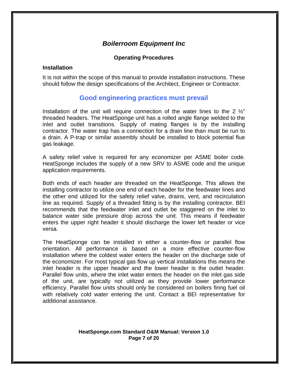#### **Operating Procedures**

#### **Installation**

It is not within the scope of this manual to provide installation instructions. These should follow the design specifications of the Architect, Engineer or Contractor.

# **Good engineering practices must prevail**

Installation of the unit will require connection of the water lines to the 2  $\frac{1}{2}$ " threaded headers. The HeatSponge unit has a rolled angle flange welded to the inlet and outlet transitions. Supply of mating flanges is by the installing contractor. The water trap has a connection for a drain line than must be run to a drain. A P-trap or similar assembly should be installed to block potential flue gas leakage.

A safety relief valve is required for any economizer per ASME boiler code. HeatSponge includes the supply of a new SRV to ASME code and the unique application requirements.

Both ends of each header are threaded on the HeatSponge. This allows the installing contractor to utilize one end of each header for the feedwater lines and the other end utilized for the safety relief valve, drains, vent, and recirculation line as required. Supply of a threaded fitting is by the installing contractor. BEI recommends that the feedwater inlet and outlet be staggered on the inlet to balance water side pressure drop across the unit. This means if feedwater enters the upper right header it should discharge the lower left header or vice versa.

The HeatSponge can be installed in either a counter-flow or parallel flow orientation. All performance is based on a more effective counter-flow installation where the coldest water enters the header on the discharge side of the economizer. For most typical gas flow up vertical installations this means the inlet header is the upper header and the lower header is the outlet header. Parallel flow units, where the inlet water enters the header on the inlet gas side of the unit, are typically not utilized as they provide lower performance efficiency. Parallel flow units should only be considered on boilers firing fuel oil with relatively cold water entering the unit. Contact a BEI representative for additional assistance.

#### **HeatSponge.com Standard O&M Manual: Version 1.0 Page 7 of 20**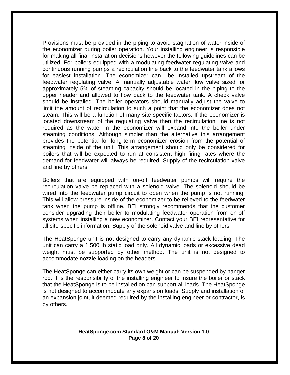Provisions must be provided in the piping to avoid stagnation of water inside of the economizer during boiler operation. Your installing engineer is responsible for making all final installation decisions however the following guidelines can be utilized. For boilers equipped with a modulating feedwater regulating valve and continuous running pumps a recirculation line back to the feedwater tank allows for easiest installation. The economizer can be installed upstream of the feedwater regulating valve. A manually adjustable water flow valve sized for approximately 5% of steaming capacity should be located in the piping to the upper header and allowed to flow back to the feedwater tank. A check valve should be installed. The boiler operators should manually adjust the valve to limit the amount of recirculation to such a point that the economizer does not steam. This will be a function of many site-specific factors. If the economizer is located downstream of the regulating valve then the recirculation line is not required as the water in the economizer will expand into the boiler under steaming conditions. Although simpler than the alternative this arrangement provides the potential for long-term economizer erosion from the potential of steaming inside of the unit. This arrangement should only be considered for boilers that will be expected to run at consistent high firing rates where the demand for feedwater will always be required. Supply of the recirculation valve and line by others.

Boilers that are equipped with on-off feedwater pumps will require the recirculation valve be replaced with a solenoid valve. The solenoid should be wired into the feedwater pump circuit to open when the pump is not running. This will allow pressure inside of the economizer to be relieved to the feedwater tank when the pump is offline. BEI strongly recommends that the customer consider upgrading their boiler to modulating feedwater operation from on-off systems when installing a new economizer. Contact your BEI representative for all site-specific information. Supply of the solenoid valve and line by others.

The HeatSponge unit is not designed to carry any dynamic stack loading. The unit can carry a 1,500 lb static load only. All dynamic loads or excessive dead weight must be supported by other method. The unit is not designed to accommodate nozzle loading on the headers.

The HeatSponge can either carry its own weight or can be suspended by hanger rod. It is the responsibility of the installing engineer to insure the boiler or stack that the HeatSponge is to be installed on can support all loads. The HeatSponge is not designed to accommodate any expansion loads. Supply and installation of an expansion joint, it deemed required by the installing engineer or contractor, is by others.

#### **HeatSponge.com Standard O&M Manual: Version 1.0 Page 8 of 20**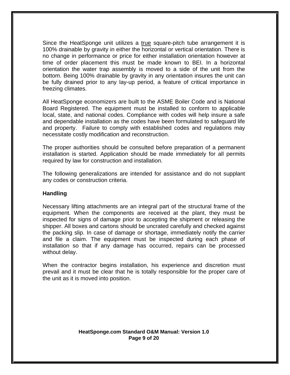Since the HeatSponge unit utilizes a true square-pitch tube arrangement it is 100% drainable by gravity in either the horizontal or vertical orientation. There is no change in performance or price for either installation orientation however at time of order placement this must be made known to BEI. In a horizontal orientation the water trap assembly is moved to a side of the unit from the bottom. Being 100% drainable by gravity in any orientation insures the unit can be fully drained prior to any lay-up period, a feature of critical importance in freezing climates.

All HeatSponge economizers are built to the ASME Boiler Code and is National Board Registered. The equipment must be installed to conform to applicable local, state, and national codes. Compliance with codes will help insure a safe and dependable installation as the codes have been formulated to safeguard life and property. Failure to comply with established codes and regulations may necessitate costly modification and reconstruction.

The proper authorities should be consulted before preparation of a permanent installation is started. Application should be made immediately for all permits required by law for construction and installation.

The following generalizations are intended for assistance and do not supplant any codes or construction criteria.

#### **Handling**

Necessary lifting attachments are an integral part of the structural frame of the equipment. When the components are received at the plant, they must be inspected for signs of damage prior to accepting the shipment or releasing the shipper. All boxes and cartons should be uncrated carefully and checked against the packing slip. In case of damage or shortage, immediately notify the carrier and file a claim. The equipment must be inspected during each phase of installation so that if any damage has occurred, repairs can be processed without delay.

When the contractor begins installation, his experience and discretion must prevail and it must be clear that he is totally responsible for the proper care of the unit as it is moved into position.

#### **HeatSponge.com Standard O&M Manual: Version 1.0 Page 9 of 20**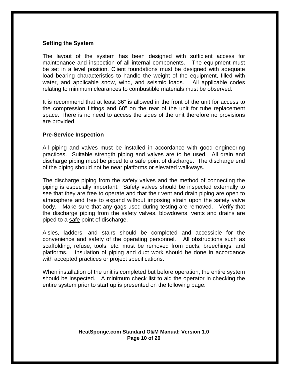#### **Setting the System**

The layout of the system has been designed with sufficient access for maintenance and inspection of all internal components. The equipment must be set in a level position. Client foundations must be designed with adequate load bearing characteristics to handle the weight of the equipment, filled with water, and applicable snow, wind, and seismic loads. All applicable codes relating to minimum clearances to combustible materials must be observed.

It is recommend that at least 36" is allowed in the front of the unit for access to the compression fittings and 60" on the rear of the unit for tube replacement space. There is no need to access the sides of the unit therefore no provisions are provided.

#### **Pre-Service Inspection**

All piping and valves must be installed in accordance with good engineering practices. Suitable strength piping and valves are to be used. All drain and discharge piping must be piped to a safe point of discharge. The discharge end of the piping should not be near platforms or elevated walkways.

The discharge piping from the safety valves and the method of connecting the piping is especially important. Safety valves should be inspected externally to see that they are free to operate and that their vent and drain piping are open to atmosphere and free to expand without imposing strain upon the safety valve body. Make sure that any gags used during testing are removed. Verify that the discharge piping from the safety valves, blowdowns, vents and drains are piped to a safe point of discharge.

Aisles, ladders, and stairs should be completed and accessible for the convenience and safety of the operating personnel. All obstructions such as scaffolding, refuse, tools, etc. must be removed from ducts, breechings, and platforms. Insulation of piping and duct work should be done in accordance with accepted practices or project specifications.

When installation of the unit is completed but before operation, the entire system should be inspected. A minimum check list to aid the operator in checking the entire system prior to start up is presented on the following page:

#### **HeatSponge.com Standard O&M Manual: Version 1.0 Page 10 of 20**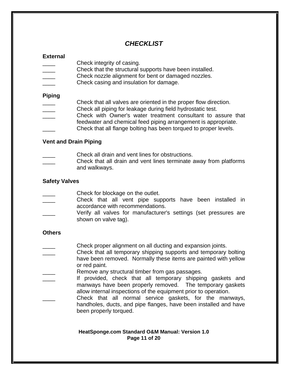# *CHECKLIST*

# **External**

- Check integrity of casing.
- Check that the structural supports have been installed.
- Check nozzle alignment for bent or damaged nozzles.
- Check casing and insulation for damage.

# **Piping**

- Check that all valves are oriented in the proper flow direction.
- Check all piping for leakage during field hydrostatic test.
- Check with Owner's water treatment consultant to assure that
- feedwater and chemical feed piping arrangement is appropriate.
- Check that all flange bolting has been torqued to proper levels.

# **Vent and Drain Piping**

- Check all drain and vent lines for obstructions.
- Check that all drain and vent lines terminate away from platforms and walkways.

# **Safety Valves**

- Check for blockage on the outlet.
- Check that all vent pipe supports have been installed in accordance with recommendations.
- Verify all valves for manufacturer's settings (set pressures are shown on valve tag).

## **Others**

- Check proper alignment on all ducting and expansion joints.
- \_\_\_\_ Check that all temporary shipping supports and temporary bolting have been removed. Normally these items are painted with yellow or red paint.
- Remove any structural timber from gas passages.
- If provided, check that all temporary shipping gaskets and manways have been properly removed. The temporary gaskets allow internal inspections of the equipment prior to operation.
- Check that all normal service gaskets, for the manways, handholes, ducts, and pipe flanges, have been installed and have been properly torqued.

#### **HeatSponge.com Standard O&M Manual: Version 1.0 Page 11 of 20**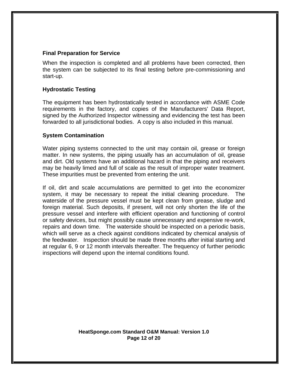## **Final Preparation for Service**

When the inspection is completed and all problems have been corrected, then the system can be subjected to its final testing before pre-commissioning and start-up.

## **Hydrostatic Testing**

The equipment has been hydrostatically tested in accordance with ASME Code requirements in the factory, and copies of the Manufacturers' Data Report, signed by the Authorized Inspector witnessing and evidencing the test has been forwarded to all jurisdictional bodies. A copy is also included in this manual.

#### **System Contamination**

Water piping systems connected to the unit may contain oil, grease or foreign matter. In new systems, the piping usually has an accumulation of oil, grease and dirt. Old systems have an additional hazard in that the piping and receivers may be heavily limed and full of scale as the result of improper water treatment. These impurities must be prevented from entering the unit.

If oil, dirt and scale accumulations are permitted to get into the economizer system, it may be necessary to repeat the initial cleaning procedure. The waterside of the pressure vessel must be kept clean from grease, sludge and foreign material. Such deposits, if present, will not only shorten the life of the pressure vessel and interfere with efficient operation and functioning of control or safety devices, but might possibly cause unnecessary and expensive re-work, repairs and down time. The waterside should be inspected on a periodic basis, which will serve as a check against conditions indicated by chemical analysis of the feedwater. Inspection should be made three months after initial starting and at regular 6, 9 or 12 month intervals thereafter. The frequency of further periodic inspections will depend upon the internal conditions found.

> **HeatSponge.com Standard O&M Manual: Version 1.0 Page 12 of 20**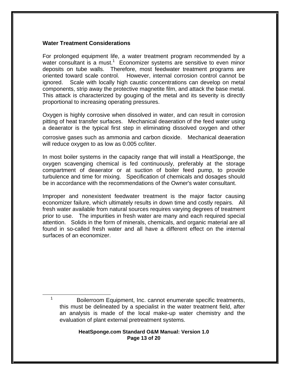#### **Water Treatment Considerations**

 $\overline{\phantom{a}}$ <sup>1</sup>

For prolonged equipment life, a water treatment program recommended by a water consultant is a must.<sup>1</sup> Economizer systems are sensitive to even minor deposits on tube walls. Therefore, most feedwater treatment programs are oriented toward scale control. However, internal corrosion control cannot be ignored. Scale with locally high caustic concentrations can develop on metal components, strip away the protective magnetite film, and attack the base metal. This attack is characterized by gouging of the metal and its severity is directly proportional to increasing operating pressures.

Oxygen is highly corrosive when dissolved in water, and can result in corrosion pitting of heat transfer surfaces. Mechanical deaeration of the feed water using a deaerator is the typical first step in eliminating dissolved oxygen and other

corrosive gases such as ammonia and carbon dioxide. Mechanical deaeration will reduce oxygen to as low as 0.005 cc/liter.

In most boiler systems in the capacity range that will install a HeatSponge, the oxygen scavenging chemical is fed continuously, preferably at the storage compartment of deaerator or at suction of boiler feed pump, to provide turbulence and time for mixing. Specification of chemicals and dosages should be in accordance with the recommendations of the Owner's water consultant.

Improper and nonexistent feedwater treatment is the major factor causing economizer failure, which ultimately results in down time and costly repairs. All fresh water available from natural sources requires varying degrees of treatment prior to use. The impurities in fresh water are many and each required special attention. Solids in the form of minerals, chemicals, and organic material are all found in so-called fresh water and all have a different effect on the internal surfaces of an economizer.

Boilerroom Equipment, Inc. cannot enumerate specific treatments, this must be delineated by a specialist in the water treatment field, after an analysis is made of the local make-up water chemistry and the evaluation of plant external pretreatment systems.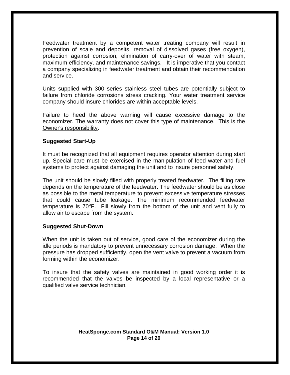Feedwater treatment by a competent water treating company will result in prevention of scale and deposits, removal of dissolved gases (free oxygen), protection against corrosion, elimination of carry-over of water with steam, maximum efficiency, and maintenance savings. It is imperative that you contact a company specializing in feedwater treatment and obtain their recommendation and service.

Units supplied with 300 series stainless steel tubes are potentially subject to failure from chloride corrosions stress cracking. Your water treatment service company should insure chlorides are within acceptable levels.

Failure to heed the above warning will cause excessive damage to the economizer. The warranty does not cover this type of maintenance. This is the Owner's responsibility.

#### **Suggested Start-Up**

It must be recognized that all equipment requires operator attention during start up. Special care must be exercised in the manipulation of feed water and fuel systems to protect against damaging the unit and to insure personnel safety.

The unit should be slowly filled with properly treated feedwater. The filling rate depends on the temperature of the feedwater. The feedwater should be as close as possible to the metal temperature to prevent excessive temperature stresses that could cause tube leakage. The minimum recommended feedwater temperature is  $70^{\circ}$ F. Fill slowly from the bottom of the unit and vent fully to allow air to escape from the system.

#### **Suggested Shut-Down**

When the unit is taken out of service, good care of the economizer during the idle periods is mandatory to prevent unnecessary corrosion damage. When the pressure has dropped sufficiently, open the vent valve to prevent a vacuum from forming within the economizer.

To insure that the safety valves are maintained in good working order it is recommended that the valves be inspected by a local representative or a qualified valve service technician.

#### **HeatSponge.com Standard O&M Manual: Version 1.0 Page 14 of 20**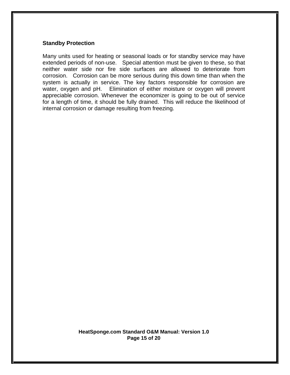#### **Standby Protection**

Many units used for heating or seasonal loads or for standby service may have extended periods of non-use. Special attention must be given to these, so that neither water side nor fire side surfaces are allowed to deteriorate from corrosion. Corrosion can be more serious during this down time than when the system is actually in service. The key factors responsible for corrosion are water, oxygen and pH. Elimination of either moisture or oxygen will prevent appreciable corrosion. Whenever the economizer is going to be out of service for a length of time, it should be fully drained. This will reduce the likelihood of internal corrosion or damage resulting from freezing.

> **HeatSponge.com Standard O&M Manual: Version 1.0 Page 15 of 20**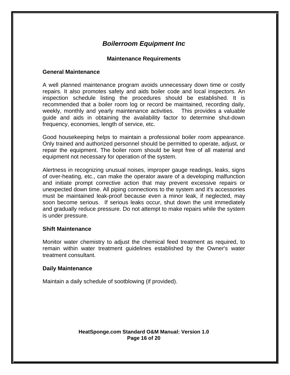## **Maintenance Requirements**

#### **General Maintenance**

A well planned maintenance program avoids unnecessary down time or costly repairs. It also promotes safety and aids boiler code and local inspectors. An inspection schedule listing the procedures should be established. It is recommended that a boiler room log or record be maintained, recording daily, weekly, monthly and yearly maintenance activities. This provides a valuable guide and aids in obtaining the availability factor to determine shut-down frequency, economies, length of service, etc.

Good housekeeping helps to maintain a professional boiler room appearance. Only trained and authorized personnel should be permitted to operate, adjust, or repair the equipment. The boiler room should be kept free of all material and equipment not necessary for operation of the system.

Alertness in recognizing unusual noises, improper gauge readings, leaks, signs of over-heating, etc., can make the operator aware of a developing malfunction and initiate prompt corrective action that may prevent excessive repairs or unexpected down time. All piping connections to the system and it's accessories must be maintained leak-proof because even a minor leak, if neglected, may soon become serious. If serious leaks occur, shut down the unit immediately and gradually reduce pressure. Do not attempt to make repairs while the system is under pressure.

#### **Shift Maintenance**

Monitor water chemistry to adjust the chemical feed treatment as required, to remain within water treatment guidelines established by the Owner's water treatment consultant.

#### **Daily Maintenance**

Maintain a daily schedule of sootblowing (if provided).

#### **HeatSponge.com Standard O&M Manual: Version 1.0 Page 16 of 20**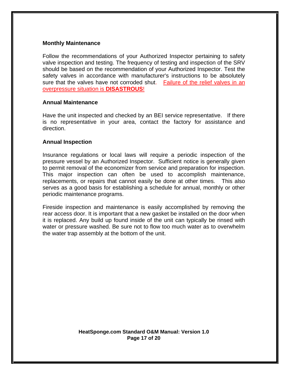#### **Monthly Maintenance**

Follow the recommendations of your Authorized Inspector pertaining to safety valve inspection and testing. The frequency of testing and inspection of the SRV should be based on the recommendation of your Authorized Inspector. Test the safety valves in accordance with manufacturer's instructions to be absolutely sure that the valves have not corroded shut. Failure of the relief valves in an overpressure situation is **DISASTROUS**!

#### **Annual Maintenance**

Have the unit inspected and checked by an BEI service representative. If there is no representative in your area, contact the factory for assistance and direction.

#### **Annual Inspection**

Insurance regulations or local laws will require a periodic inspection of the pressure vessel by an Authorized Inspector. Sufficient notice is generally given to permit removal of the economizer from service and preparation for inspection. This major inspection can often be used to accomplish maintenance, replacements, or repairs that cannot easily be done at other times. This also serves as a good basis for establishing a schedule for annual, monthly or other periodic maintenance programs.

Fireside inspection and maintenance is easily accomplished by removing the rear access door. It is important that a new gasket be installed on the door when it is replaced. Any build up found inside of the unit can typically be rinsed with water or pressure washed. Be sure not to flow too much water as to overwhelm the water trap assembly at the bottom of the unit.

> **HeatSponge.com Standard O&M Manual: Version 1.0 Page 17 of 20**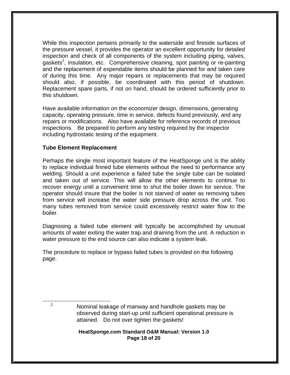While this inspection pertains primarily to the waterside and fireside surfaces of the pressure vessel, it provides the operator an excellent opportunity for detailed inspection and check of all components of the system including piping, valves, gaskets<sup>2</sup>, insulation, etc. Comprehensive cleaning, spot painting or re-painting and the replacement of expendable items should be planned for and taken care of during this time. Any major repairs or replacements that may be required should also, if possible, be coordinated with this period of shutdown. Replacement spare parts, if not on hand, should be ordered sufficiently prior to this shutdown.

Have available information on the economizer design, dimensions, generating capacity, operating pressure, time in service, defects found previously, and any repairs or modifications. Also have available for reference records of previous inspections. Be prepared to perform any testing required by the inspector including hydrostatic testing of the equipment.

## **Tube Element Replacement**

Perhaps the single most important feature of the HeatSponge unit is the ability to replace individual finned tube elements without the need to performance any welding. Should a unit experience a failed tube the single tube can be isolated and taken out of service. This will allow the other elements to continue to recover energy until a convenient time to shut the boiler down for service. The operator should insure that the boiler is not starved of water as removing tubes from service will increase the water side pressure drop across the unit. Too many tubes removed from service could excessively restrict water flow to the boiler.

Diagnosing a failed tube element will typically be accomplished by unusual amounts of water exiting the water trap and draining from the unit. A reduction in water pressure to the end source can also indicate a system leak.

The procedure to replace or bypass failed tubes is provided on the following page.

<sup>2</sup>

 $\overline{a}$ 

#### **HeatSponge.com Standard O&M Manual: Version 1.0 Page 18 of 20**

Nominal leakage of manway and handhole gaskets may be observed during start-up until sufficient operational pressure is attained. Do not over tighten the gaskets!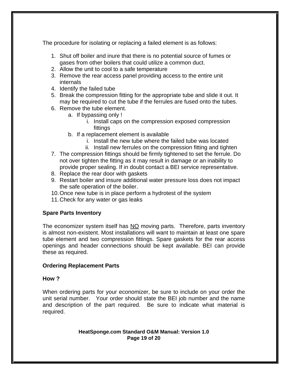The procedure for isolating or replacing a failed element is as follows:

- 1. Shut off boiler and inure that there is no potential source of fumes or gases from other boilers that could utilize a common duct.
- 2. Allow the unit to cool to a safe temperature
- 3. Remove the rear access panel providing access to the entire unit internals
- 4. Identify the failed tube
- 5. Break the compression fitting for the appropriate tube and slide it out. It may be required to cut the tube if the ferrules are fused onto the tubes.
- 6. Remove the tube element.
	- a. If bypassing only !
		- i. Install caps on the compression exposed compression fittings
	- b. If a replacement element is available
		- i. Install the new tube where the failed tube was located
		- ii. Install new ferrules on the compression fitting and tighten
- 7. The compression fittings should be firmly tightened to set the ferrule. Do not over tighten the fitting as it may result in damage or an inability to provide proper sealing. If in doubt contact a BEI service representative.
- 8. Replace the rear door with gaskets
- 9. Restart boiler and insure additional water pressure loss does not impact the safe operation of the boiler.
- 10. Once new tube is in place perform a hydrotest of the system
- 11. Check for any water or gas leaks

## **Spare Parts Inventory**

The economizer system itself has NO moving parts. Therefore, parts inventory is almost non-existent. Most installations will want to maintain at least one spare tube element and two compression fittings. Spare gaskets for the rear access openings and header connections should be kept available. BEI can provide these as required.

# **Ordering Replacement Parts**

## **How ?**

When ordering parts for your economizer, be sure to include on your order the unit serial number. Your order should state the BEI job number and the name and description of the part required. Be sure to indicate what material is required.

#### **HeatSponge.com Standard O&M Manual: Version 1.0 Page 19 of 20**